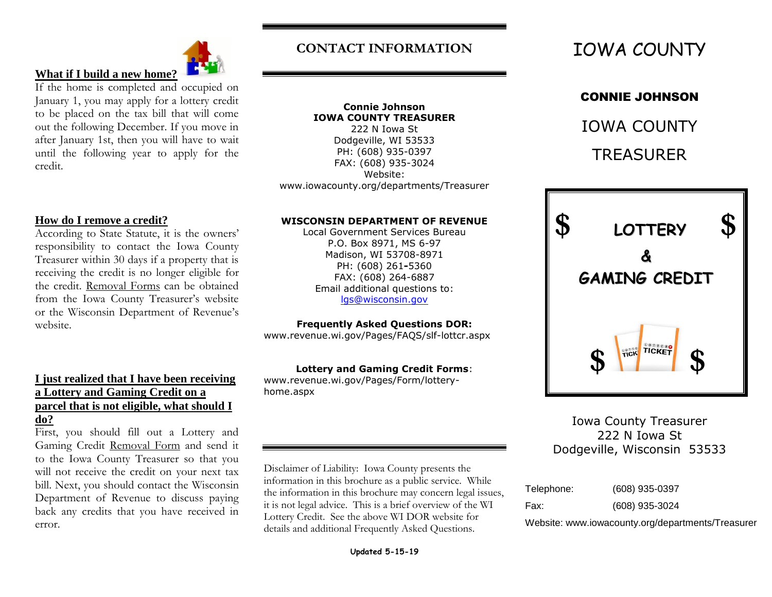

## **What if I build a new home[?](http://www.123rf.com/photo_9047215_house-from-puzzle-on-white-isolated-3d-image.html)**

If the home is completed and occupied on January 1, you may apply for a lottery credit to be placed on the tax bill that will come out the following December. If you move in after January 1st, then you will have to wait until the following year to apply for the credit.

#### **How do I remove a credit?**

According to State Statute, it is the owners' responsibility to contact the Iowa County Treasurer within 30 days if a property that is receiving the credit is no longer eligible for the credit. Removal Forms can be obtained from the Iowa County Treasurer's website or the Wisconsin Department of Revenue's website.

#### **I just realized that I have been receiving a Lottery and Gaming Credit on a parcel that is not eligible, what should I do?**

First, you should fill out a Lottery and Gaming Credit Removal Form and send it to the Iowa County Treasurer so that you will not receive the credit on your next tax bill. Next, you should contact the Wisconsin Department of Revenue to discuss paying back any credits that you have received in error.

## **CONTACT INFORMATION**

**Connie Johnson IOWA COUNTY TREASURER** 222 N Iowa St Dodgeville, WI 53533 PH: (608) 935-0397 FAX: (608) 935-3024 Website: www.iowacounty.org/departments/Treasurer

#### **WISCONSIN DEPARTMENT OF REVENUE**

Local Government Services Bureau P.O. Box 8971, MS 6-97 Madison, WI 53708-8971 PH: (608) 261**-**5360 FAX: (608) 264-6887 Email additional questions to: [lgs@wisconsin.gov](mailto:lgs@wisconsin.gov)

#### **Frequently Asked Questions DOR:**

www.revenue.wi.gov/Pages/FAQS/slf-lottcr.aspx

#### **Lottery and Gaming Credit Forms**:

www.revenue.wi.gov/Pages/Form/lotteryhome.aspx

Disclaimer of Liability: Iowa County presents the information in this brochure as a public service. While the information in this brochure may concern legal issues, it is not legal advice. This is a brief overview of the WI Lottery Credit. See the above WI DOR website for details and additional Frequently Asked Questions.

## CONNIE JOHNSON

IOWA COUNTY TREASURER



Iowa County Treasurer 222 N Iowa St Dodgeville, Wisconsin 53533

| Telephone: | (608) 935-0397 |
|------------|----------------|
| Fax:       | (608) 935-3024 |

Website: www.iowacounty.org/departments/Treasurer